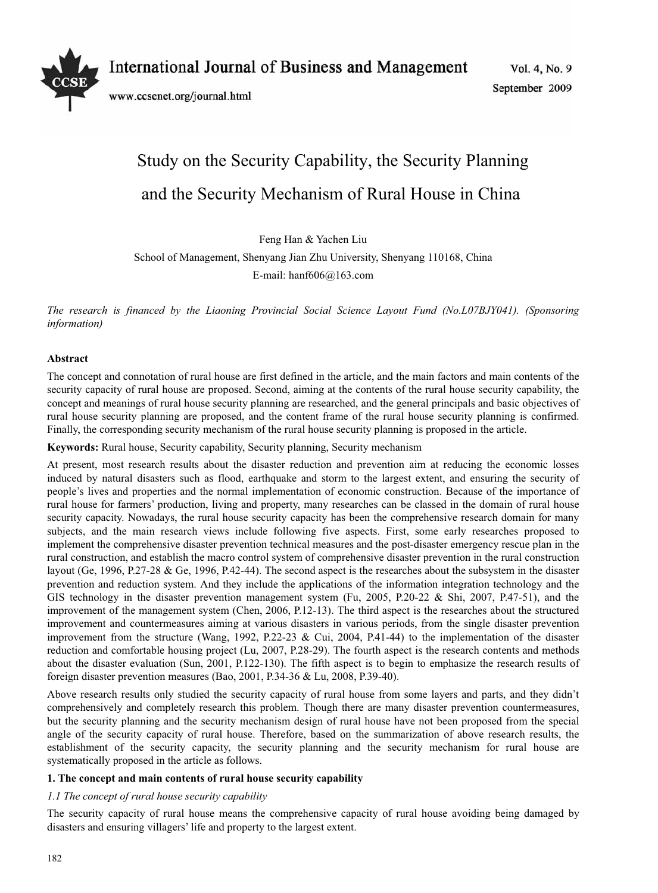**International Journal of Business and Management** 

Vol. 4, No. 9 *International Journal of Business and Management* 



Vol. 4, No. 9 September 2009

# Study on the Security Capability, the Security Planning and the Security Mechanism of Rural House in China

Feng Han & Yachen Liu

School of Management, Shenyang Jian Zhu University, Shenyang 110168, China

E-mail: hanf606@163.com

*The research is financed by the Liaoning Provincial Social Science Layout Fund (No.L07BJY041). (Sponsoring information)* 

# **Abstract**

The concept and connotation of rural house are first defined in the article, and the main factors and main contents of the security capacity of rural house are proposed. Second, aiming at the contents of the rural house security capability, the concept and meanings of rural house security planning are researched, and the general principals and basic objectives of rural house security planning are proposed, and the content frame of the rural house security planning is confirmed. Finally, the corresponding security mechanism of the rural house security planning is proposed in the article.

**Keywords:** Rural house, Security capability, Security planning, Security mechanism

At present, most research results about the disaster reduction and prevention aim at reducing the economic losses induced by natural disasters such as flood, earthquake and storm to the largest extent, and ensuring the security of people's lives and properties and the normal implementation of economic construction. Because of the importance of rural house for farmers' production, living and property, many researches can be classed in the domain of rural house security capacity. Nowadays, the rural house security capacity has been the comprehensive research domain for many subjects, and the main research views include following five aspects. First, some early researches proposed to implement the comprehensive disaster prevention technical measures and the post-disaster emergency rescue plan in the rural construction, and establish the macro control system of comprehensive disaster prevention in the rural construction layout (Ge, 1996, P.27-28 & Ge, 1996, P.42-44). The second aspect is the researches about the subsystem in the disaster prevention and reduction system. And they include the applications of the information integration technology and the GIS technology in the disaster prevention management system (Fu, 2005, P.20-22 & Shi, 2007, P.47-51), and the improvement of the management system (Chen, 2006, P.12-13). The third aspect is the researches about the structured improvement and countermeasures aiming at various disasters in various periods, from the single disaster prevention improvement from the structure (Wang, 1992, P.22-23 & Cui, 2004, P.41-44) to the implementation of the disaster reduction and comfortable housing project (Lu, 2007, P.28-29). The fourth aspect is the research contents and methods about the disaster evaluation (Sun, 2001, P.122-130). The fifth aspect is to begin to emphasize the research results of foreign disaster prevention measures (Bao, 2001, P.34-36 & Lu, 2008, P.39-40).

Above research results only studied the security capacity of rural house from some layers and parts, and they didn't comprehensively and completely research this problem. Though there are many disaster prevention countermeasures, but the security planning and the security mechanism design of rural house have not been proposed from the special angle of the security capacity of rural house. Therefore, based on the summarization of above research results, the establishment of the security capacity, the security planning and the security mechanism for rural house are systematically proposed in the article as follows.

# **1. The concept and main contents of rural house security capability**

# *1.1 The concept of rural house security capability*

The security capacity of rural house means the comprehensive capacity of rural house avoiding being damaged by disasters and ensuring villagers' life and property to the largest extent.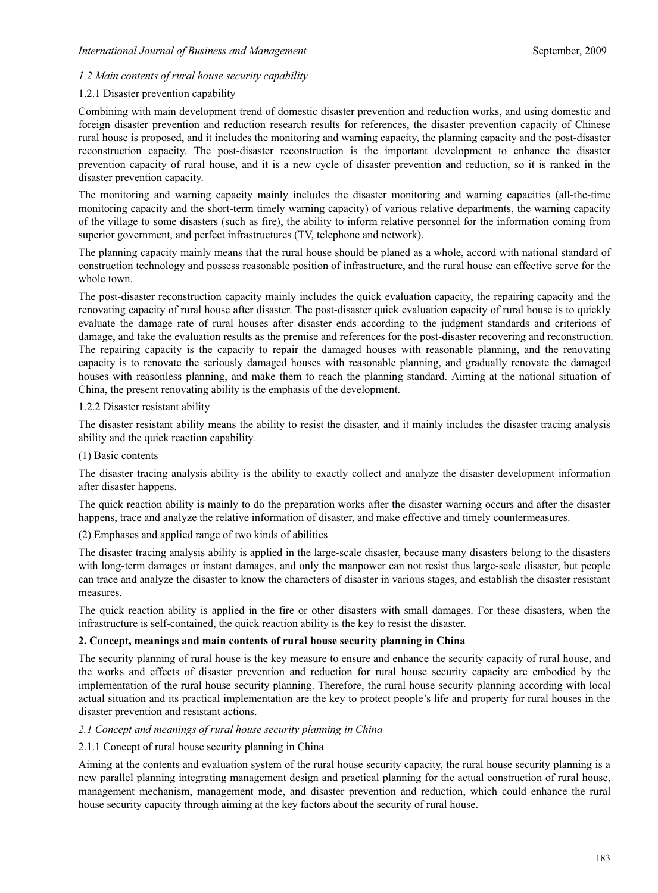## *1.2 Main contents of rural house security capability*

# 1.2.1 Disaster prevention capability

Combining with main development trend of domestic disaster prevention and reduction works, and using domestic and foreign disaster prevention and reduction research results for references, the disaster prevention capacity of Chinese rural house is proposed, and it includes the monitoring and warning capacity, the planning capacity and the post-disaster reconstruction capacity. The post-disaster reconstruction is the important development to enhance the disaster prevention capacity of rural house, and it is a new cycle of disaster prevention and reduction, so it is ranked in the disaster prevention capacity.

The monitoring and warning capacity mainly includes the disaster monitoring and warning capacities (all-the-time monitoring capacity and the short-term timely warning capacity) of various relative departments, the warning capacity of the village to some disasters (such as fire), the ability to inform relative personnel for the information coming from superior government, and perfect infrastructures (TV, telephone and network).

The planning capacity mainly means that the rural house should be planed as a whole, accord with national standard of construction technology and possess reasonable position of infrastructure, and the rural house can effective serve for the whole town.

The post-disaster reconstruction capacity mainly includes the quick evaluation capacity, the repairing capacity and the renovating capacity of rural house after disaster. The post-disaster quick evaluation capacity of rural house is to quickly evaluate the damage rate of rural houses after disaster ends according to the judgment standards and criterions of damage, and take the evaluation results as the premise and references for the post-disaster recovering and reconstruction. The repairing capacity is the capacity to repair the damaged houses with reasonable planning, and the renovating capacity is to renovate the seriously damaged houses with reasonable planning, and gradually renovate the damaged houses with reasonless planning, and make them to reach the planning standard. Aiming at the national situation of China, the present renovating ability is the emphasis of the development.

#### 1.2.2 Disaster resistant ability

The disaster resistant ability means the ability to resist the disaster, and it mainly includes the disaster tracing analysis ability and the quick reaction capability.

## (1) Basic contents

The disaster tracing analysis ability is the ability to exactly collect and analyze the disaster development information after disaster happens.

The quick reaction ability is mainly to do the preparation works after the disaster warning occurs and after the disaster happens, trace and analyze the relative information of disaster, and make effective and timely countermeasures.

(2) Emphases and applied range of two kinds of abilities

The disaster tracing analysis ability is applied in the large-scale disaster, because many disasters belong to the disasters with long-term damages or instant damages, and only the manpower can not resist thus large-scale disaster, but people can trace and analyze the disaster to know the characters of disaster in various stages, and establish the disaster resistant measures.

The quick reaction ability is applied in the fire or other disasters with small damages. For these disasters, when the infrastructure is self-contained, the quick reaction ability is the key to resist the disaster.

## **2. Concept, meanings and main contents of rural house security planning in China**

The security planning of rural house is the key measure to ensure and enhance the security capacity of rural house, and the works and effects of disaster prevention and reduction for rural house security capacity are embodied by the implementation of the rural house security planning. Therefore, the rural house security planning according with local actual situation and its practical implementation are the key to protect people's life and property for rural houses in the disaster prevention and resistant actions.

## *2.1 Concept and meanings of rural house security planning in China*

## 2.1.1 Concept of rural house security planning in China

Aiming at the contents and evaluation system of the rural house security capacity, the rural house security planning is a new parallel planning integrating management design and practical planning for the actual construction of rural house, management mechanism, management mode, and disaster prevention and reduction, which could enhance the rural house security capacity through aiming at the key factors about the security of rural house.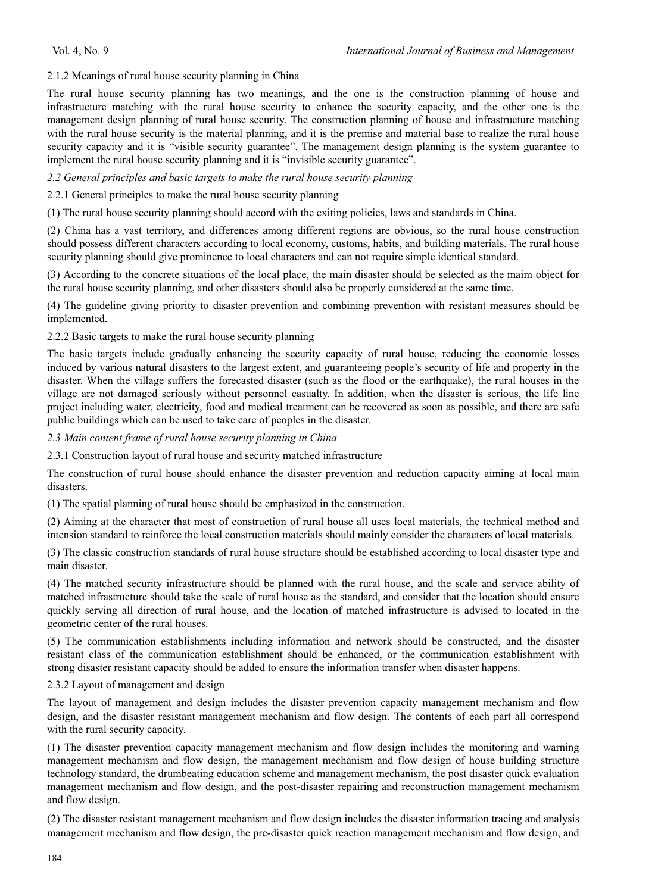## 2.1.2 Meanings of rural house security planning in China

The rural house security planning has two meanings, and the one is the construction planning of house and infrastructure matching with the rural house security to enhance the security capacity, and the other one is the management design planning of rural house security. The construction planning of house and infrastructure matching with the rural house security is the material planning, and it is the premise and material base to realize the rural house security capacity and it is "visible security guarantee". The management design planning is the system guarantee to implement the rural house security planning and it is "invisible security guarantee".

## *2.2 General principles and basic targets to make the rural house security planning*

# 2.2.1 General principles to make the rural house security planning

(1) The rural house security planning should accord with the exiting policies, laws and standards in China.

(2) China has a vast territory, and differences among different regions are obvious, so the rural house construction should possess different characters according to local economy, customs, habits, and building materials. The rural house security planning should give prominence to local characters and can not require simple identical standard.

(3) According to the concrete situations of the local place, the main disaster should be selected as the maim object for the rural house security planning, and other disasters should also be properly considered at the same time.

(4) The guideline giving priority to disaster prevention and combining prevention with resistant measures should be implemented.

2.2.2 Basic targets to make the rural house security planning

The basic targets include gradually enhancing the security capacity of rural house, reducing the economic losses induced by various natural disasters to the largest extent, and guaranteeing people's security of life and property in the disaster. When the village suffers the forecasted disaster (such as the flood or the earthquake), the rural houses in the village are not damaged seriously without personnel casualty. In addition, when the disaster is serious, the life line project including water, electricity, food and medical treatment can be recovered as soon as possible, and there are safe public buildings which can be used to take care of peoples in the disaster.

*2.3 Main content frame of rural house security planning in China* 

2.3.1 Construction layout of rural house and security matched infrastructure

The construction of rural house should enhance the disaster prevention and reduction capacity aiming at local main disasters.

(1) The spatial planning of rural house should be emphasized in the construction.

(2) Aiming at the character that most of construction of rural house all uses local materials, the technical method and intension standard to reinforce the local construction materials should mainly consider the characters of local materials.

(3) The classic construction standards of rural house structure should be established according to local disaster type and main disaster.

(4) The matched security infrastructure should be planned with the rural house, and the scale and service ability of matched infrastructure should take the scale of rural house as the standard, and consider that the location should ensure quickly serving all direction of rural house, and the location of matched infrastructure is advised to located in the geometric center of the rural houses.

(5) The communication establishments including information and network should be constructed, and the disaster resistant class of the communication establishment should be enhanced, or the communication establishment with strong disaster resistant capacity should be added to ensure the information transfer when disaster happens.

2.3.2 Layout of management and design

The layout of management and design includes the disaster prevention capacity management mechanism and flow design, and the disaster resistant management mechanism and flow design. The contents of each part all correspond with the rural security capacity.

(1) The disaster prevention capacity management mechanism and flow design includes the monitoring and warning management mechanism and flow design, the management mechanism and flow design of house building structure technology standard, the drumbeating education scheme and management mechanism, the post disaster quick evaluation management mechanism and flow design, and the post-disaster repairing and reconstruction management mechanism and flow design.

(2) The disaster resistant management mechanism and flow design includes the disaster information tracing and analysis management mechanism and flow design, the pre-disaster quick reaction management mechanism and flow design, and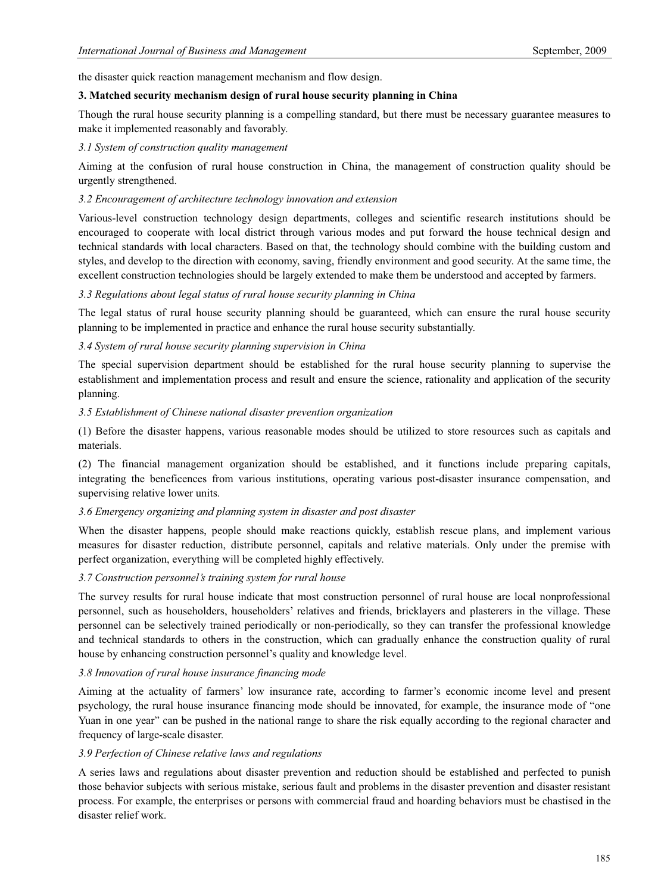the disaster quick reaction management mechanism and flow design.

## **3. Matched security mechanism design of rural house security planning in China**

Though the rural house security planning is a compelling standard, but there must be necessary guarantee measures to make it implemented reasonably and favorably.

#### *3.1 System of construction quality management*

Aiming at the confusion of rural house construction in China, the management of construction quality should be urgently strengthened.

#### *3.2 Encouragement of architecture technology innovation and extension*

Various-level construction technology design departments, colleges and scientific research institutions should be encouraged to cooperate with local district through various modes and put forward the house technical design and technical standards with local characters. Based on that, the technology should combine with the building custom and styles, and develop to the direction with economy, saving, friendly environment and good security. At the same time, the excellent construction technologies should be largely extended to make them be understood and accepted by farmers.

#### *3.3 Regulations about legal status of rural house security planning in China*

The legal status of rural house security planning should be guaranteed, which can ensure the rural house security planning to be implemented in practice and enhance the rural house security substantially.

## *3.4 System of rural house security planning supervision in China*

The special supervision department should be established for the rural house security planning to supervise the establishment and implementation process and result and ensure the science, rationality and application of the security planning.

#### *3.5 Establishment of Chinese national disaster prevention organization*

(1) Before the disaster happens, various reasonable modes should be utilized to store resources such as capitals and materials.

(2) The financial management organization should be established, and it functions include preparing capitals, integrating the beneficences from various institutions, operating various post-disaster insurance compensation, and supervising relative lower units.

## *3.6 Emergency organizing and planning system in disaster and post disaster*

When the disaster happens, people should make reactions quickly, establish rescue plans, and implement various measures for disaster reduction, distribute personnel, capitals and relative materials. Only under the premise with perfect organization, everything will be completed highly effectively.

## *3.7 Construction personnel's training system for rural house*

The survey results for rural house indicate that most construction personnel of rural house are local nonprofessional personnel, such as householders, householders' relatives and friends, bricklayers and plasterers in the village. These personnel can be selectively trained periodically or non-periodically, so they can transfer the professional knowledge and technical standards to others in the construction, which can gradually enhance the construction quality of rural house by enhancing construction personnel's quality and knowledge level.

## *3.8 Innovation of rural house insurance financing mode*

Aiming at the actuality of farmers' low insurance rate, according to farmer's economic income level and present psychology, the rural house insurance financing mode should be innovated, for example, the insurance mode of "one Yuan in one year" can be pushed in the national range to share the risk equally according to the regional character and frequency of large-scale disaster.

## *3.9 Perfection of Chinese relative laws and regulations*

A series laws and regulations about disaster prevention and reduction should be established and perfected to punish those behavior subjects with serious mistake, serious fault and problems in the disaster prevention and disaster resistant process. For example, the enterprises or persons with commercial fraud and hoarding behaviors must be chastised in the disaster relief work.